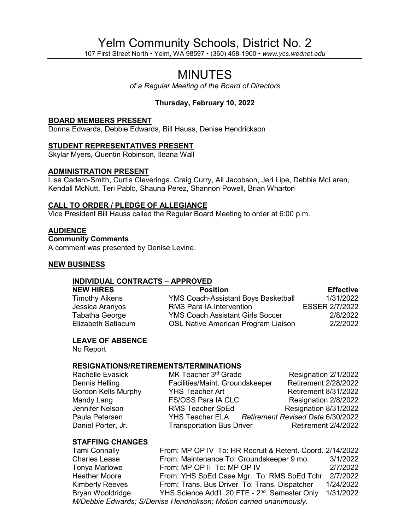# Yelm Community Schools, District No. 2

107 First Street North • Yelm, WA 98597 • (360) 458-1900 • *www.ycs.wednet.edu*

# MINUTES

*of a Regular Meeting of the Board of Directors*

## **Thursday, February 10, 2022**

#### **BOARD MEMBERS PRESENT**

Donna Edwards, Debbie Edwards, Bill Hauss, Denise Hendrickson

#### **STUDENT REPRESENTATIVES PRESENT**

Skylar Myers, Quentin Robinson, Ileana Wall

#### **ADMINISTRATION PRESENT**

Lisa Cadero-Smith, Curtis Cleveringa, Craig Curry, Ali Jacobson, Jeri Lipe, Debbie McLaren, Kendall McNutt, Teri Pablo, Shauna Perez, Shannon Powell, Brian Wharton

#### **CALL TO ORDER / PLEDGE OF ALLEGIANCE**

Vice President Bill Hauss called the Regular Board Meeting to order at 6:00 p.m.

#### **AUDIENCE**

**Community Comments**

A comment was presented by Denise Levine.

#### **NEW BUSINESS**

#### **INDIVIDUAL CONTRACTS – APPROVED**

| <b>Position</b>                            | <b>Effective</b>      |
|--------------------------------------------|-----------------------|
| <b>YMS Coach-Assistant Boys Basketball</b> | 1/31/2022             |
| <b>RMS Para IA Intervention</b>            | <b>ESSER 2/7/2022</b> |
| <b>YMS Coach Assistant Girls Soccer</b>    | 2/8/2022              |
| <b>OSL Native American Program Liaison</b> | 2/2/2022              |
|                                            |                       |

#### **LEAVE OF ABSENCE**

No Report

#### **RESIGNATIONS/RETIREMENTS/TERMINATIONS**

| Rachelle Evasick           | MK Teacher 3rd Grade                              | Resignation 2/1/2022        |
|----------------------------|---------------------------------------------------|-----------------------------|
| Dennis Helling             | Facilities/Maint. Groundskeeper                   | <b>Retirement 2/28/2022</b> |
| <b>Gordon Kells Murphy</b> | <b>YHS Teacher Art</b>                            | <b>Retirement 8/31/2022</b> |
| Mandy Lang                 | <b>FS/OSS Para IA CLC</b>                         | Resignation 2/8/2022        |
| Jennifer Nelson            | <b>RMS Teacher SpEd</b>                           | Resignation 8/31/2022       |
| Paula Petersen             | YHS Teacher ELA Retirement Revised Date 6/30/2022 |                             |
| Daniel Porter, Jr.         | <b>Transportation Bus Driver</b>                  | Retirement 2/4/2022         |

#### **STAFFING CHANGES**

Tami Connally From: MP OP IV To: HR Recruit & Retent. Coord. 2/14/2022 Charles Lease From: Maintenance To: Groundskeeper 9 mo. 3/1/2022 Tonya Marlowe From: MP OP II To: MP OP IV Heather Moore **From: YHS SpEd Case Mgr. To: RMS SpEd Tchr.** 2/7/2022 Kimberly Reeves From: Trans. Bus Driver To: Trans. Dispatcher 1/24/2022<br>Bryan Wooldridge YHS Science Add'l .20 FTE - 2<sup>nd</sup>. Semester Only 1/31/2022 YHS Science Add'l .20 FTE - 2<sup>nd</sup>. Semester Only 1/31/2022 *M/Debbie Edwards; S/Denise Hendrickson; Motion carried unanimously.*